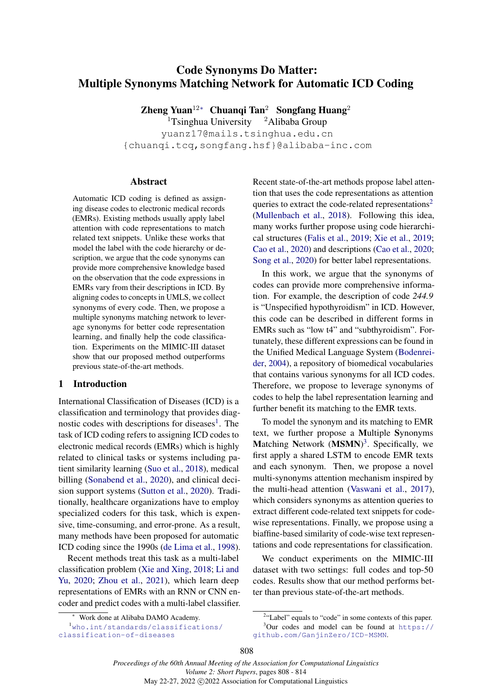# <span id="page-0-0"></span>Code Synonyms Do Matter: Multiple Synonyms Matching Network for Automatic ICD Coding

Zheng Yuan<sup>12[∗](#page-0-0)</sup> Chuanqi Tan<sup>2</sup> Songfang Huang<sup>2</sup>

<sup>1</sup>Tsinghua University  $^2$ Alibaba Group

yuanz17@mails.tsinghua.edu.cn {chuanqi.tcq,songfang.hsf}@alibaba-inc.com

#### Abstract

Automatic ICD coding is defined as assigning disease codes to electronic medical records (EMRs). Existing methods usually apply label attention with code representations to match related text snippets. Unlike these works that model the label with the code hierarchy or description, we argue that the code synonyms can provide more comprehensive knowledge based on the observation that the code expressions in EMRs vary from their descriptions in ICD. By aligning codes to concepts in UMLS, we collect synonyms of every code. Then, we propose a multiple synonyms matching network to leverage synonyms for better code representation learning, and finally help the code classification. Experiments on the MIMIC-III dataset show that our proposed method outperforms previous state-of-the-art methods.

## 1 Introduction

International Classification of Diseases (ICD) is a classification and terminology that provides diag-nostic codes with descriptions for diseases<sup>[1](#page-0-1)</sup>. The task of ICD coding refers to assigning ICD codes to electronic medical records (EMRs) which is highly related to clinical tasks or systems including patient similarity learning [\(Suo et al.,](#page-5-0) [2018\)](#page-5-0), medical billing [\(Sonabend et al.,](#page-5-1) [2020\)](#page-5-1), and clinical decision support systems [\(Sutton et al.,](#page-6-0) [2020\)](#page-6-0). Traditionally, healthcare organizations have to employ specialized coders for this task, which is expensive, time-consuming, and error-prone. As a result, many methods have been proposed for automatic ICD coding since the 1990s [\(de Lima et al.,](#page-5-2) [1998\)](#page-5-2).

Recent methods treat this task as a multi-label classification problem [\(Xie and Xing,](#page-6-1) [2018;](#page-6-1) [Li and](#page-5-3) [Yu,](#page-5-3) [2020;](#page-5-3) [Zhou et al.,](#page-6-2) [2021\)](#page-6-2), which learn deep representations of EMRs with an RNN or CNN encoder and predict codes with a multi-label classifier. Recent state-of-the-art methods propose label attention that uses the code representations as attention queries to extract the code-related representations<sup>[2](#page-0-2)</sup> [\(Mullenbach et al.,](#page-5-4) [2018\)](#page-5-4). Following this idea, many works further propose using code hierarchical structures [\(Falis et al.,](#page-5-5) [2019;](#page-5-5) [Xie et al.,](#page-6-3) [2019;](#page-6-3) [Cao et al.,](#page-4-0) [2020\)](#page-4-0) and descriptions [\(Cao et al.,](#page-4-0) [2020;](#page-4-0) [Song et al.,](#page-5-6) [2020\)](#page-5-6) for better label representations.

In this work, we argue that the synonyms of codes can provide more comprehensive information. For example, the description of code *244.9* is "Unspecified hypothyroidism" in ICD. However, this code can be described in different forms in EMRs such as "low t4" and "subthyroidism". Fortunately, these different expressions can be found in the Unified Medical Language System [\(Bodenrei](#page-4-1)[der,](#page-4-1) [2004\)](#page-4-1), a repository of biomedical vocabularies that contains various synonyms for all ICD codes. Therefore, we propose to leverage synonyms of codes to help the label representation learning and further benefit its matching to the EMR texts.

To model the synonym and its matching to EMR text, we further propose a Multiple Synonyms Matching Network (MSMN)<sup>[3](#page-0-3)</sup>. Specifically, we first apply a shared LSTM to encode EMR texts and each synonym. Then, we propose a novel multi-synonyms attention mechanism inspired by the multi-head attention [\(Vaswani et al.,](#page-6-4) [2017\)](#page-6-4), which considers synonyms as attention queries to extract different code-related text snippets for codewise representations. Finally, we propose using a biaffine-based similarity of code-wise text representations and code representations for classification.

We conduct experiments on the MIMIC-III dataset with two settings: full codes and top-50 codes. Results show that our method performs better than previous state-of-the-art methods.

<sup>1</sup>[who.int/standards/classifications/](who.int/standards/classifications/classification-of-diseases) [classification-of-diseases](who.int/standards/classifications/classification-of-diseases)

<span id="page-0-1"></span><sup>∗</sup> Work done at Alibaba DAMO Academy.

<span id="page-0-3"></span><span id="page-0-2"></span><sup>&</sup>lt;sup>2</sup>"Label" equals to "code" in some contexts of this paper.  $3$ Our codes and model can be found at [https://](https://github.com/GanjinZero/ICD-MSMN) [github.com/GanjinZero/ICD-MSMN](https://github.com/GanjinZero/ICD-MSMN).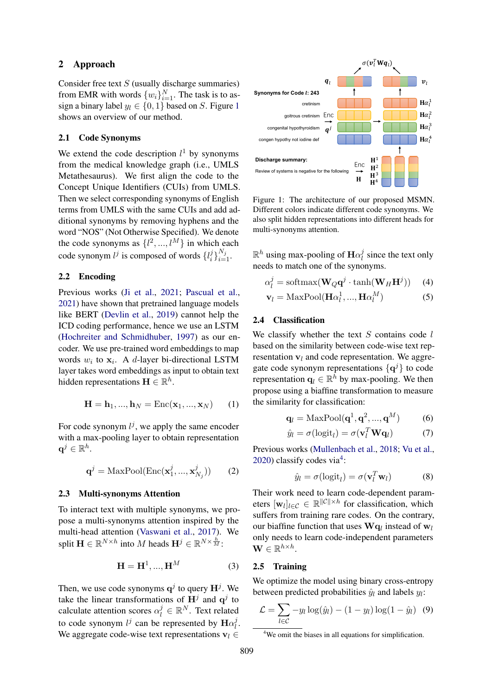# 2 Approach

Consider free text  $S$  (usually discharge summaries) from EMR with words  $\{w_i\}_{i=1}^N$ . The task is to assign a binary label  $y_l \in \{0, 1\}$  $y_l \in \{0, 1\}$  $y_l \in \{0, 1\}$  based on S. Figure 1 shows an overview of our method.

#### 2.1 Code Synonyms

We extend the code description  $l^1$  by synonyms from the medical knowledge graph (i.e., UMLS Metathesaurus). We first align the code to the Concept Unique Identifiers (CUIs) from UMLS. Then we select corresponding synonyms of English terms from UMLS with the same CUIs and add additional synonyms by removing hyphens and the word "NOS" (Not Otherwise Specified). We denote the code synonyms as  $\{l^2, ..., l^M\}$  in which each code synonym  $l^j$  is composed of words  $\{l^j_i\}$  $i^{j}\}_{i=1}^{N_{j}}$ .

# 2.2 Encoding

Previous works [\(Ji et al.,](#page-5-7) [2021;](#page-5-7) [Pascual et al.,](#page-5-8) [2021\)](#page-5-8) have shown that pretrained language models like BERT [\(Devlin et al.,](#page-5-9) [2019\)](#page-5-9) cannot help the ICD coding performance, hence we use an LSTM [\(Hochreiter and Schmidhuber,](#page-5-10) [1997\)](#page-5-10) as our encoder. We use pre-trained word embeddings to map words  $w_i$  to  $x_i$ . A d-layer bi-directional LSTM layer takes word embeddings as input to obtain text hidden representations  $\mathbf{H} \in \mathbb{R}^h$ .

$$
\mathbf{H} = \mathbf{h}_1, ..., \mathbf{h}_N = \text{Enc}(\mathbf{x}_1, ..., \mathbf{x}_N)
$$
 (1)

For code synonym  $l^j$ , we apply the same encoder with a max-pooling layer to obtain representation  $\mathbf{q}^j \in \mathbb{R}^h$ .

$$
\mathbf{q}^{j} = \text{MaxPool}(\text{Enc}(\mathbf{x}_1^j, ..., \mathbf{x}_{N_j}^j))
$$
 (2)

## 2.3 Multi-synonyms Attention

To interact text with multiple synonyms, we propose a multi-synonyms attention inspired by the multi-head attention [\(Vaswani et al.,](#page-6-4) [2017\)](#page-6-4). We split  $\mathbf{H} \in \mathbb{R}^{N \times h}$  into M heads  $\mathbf{H}^j \in \mathbb{R}^{N \times \frac{h}{M}}$ :

$$
\mathbf{H} = \mathbf{H}^1, \dots, \mathbf{H}^M \tag{3}
$$

Then, we use code synonyms  $\mathbf{q}^{j}$  to query  $\mathbf{H}^{j}$ . We take the linear transformations of  $H<sup>j</sup>$  and  $q<sup>j</sup>$  to calculate attention scores  $\alpha_l^j \in \mathbb{R}^N$ . Text related to code synonym  $l^j$  can be represented by  $\textbf{H}\alpha_l^j$  $_{l}^{\jmath}$  . We aggregate code-wise text representations  $v_l \in$ 

<span id="page-1-0"></span>

Figure 1: The architecture of our proposed MSMN. Different colors indicate different code synonyms. We also split hidden representations into different heads for multi-synonyms attention.

 $\mathbb{R}^h$  using max-pooling of  $\mathbf{H}\alpha_l^j$  $\frac{3}{l}$  since the text only needs to match one of the synonyms.

<span id="page-1-4"></span><span id="page-1-3"></span>
$$
\alpha_l^j = \text{softmax}(\mathbf{W}_Q \mathbf{q}^j \cdot \tanh(\mathbf{W}_H \mathbf{H}^j)) \quad (4)
$$
  

$$
\mathbf{v}_l = \text{MaxPool}(\mathbf{H}\alpha_l^1, ..., \mathbf{H}\alpha_l^M) \quad (5)
$$

#### 2.4 Classification

We classify whether the text  $S$  contains code  $l$ based on the similarity between code-wise text representation  $v_l$  and code representation. We aggregate code synonym representations  $\{q^{j}\}\$  to code representation  $\mathbf{q}_l \in \mathbb{R}^h$  by max-pooling. We then propose using a biaffine transformation to measure the similarity for classification:

$$
\mathbf{q}_l = \text{MaxPool}(\mathbf{q}^1, \mathbf{q}^2, ..., \mathbf{q}^M) \tag{6}
$$

<span id="page-1-2"></span>
$$
\hat{y}_l = \sigma(\text{logit}_l) = \sigma(\mathbf{v}_l^T \mathbf{W} \mathbf{q}_l)
$$
 (7)

Previous works [\(Mullenbach et al.,](#page-5-4) [2018;](#page-5-4) [Vu et al.,](#page-6-5)  $2020$ ) classify codes via<sup>[4](#page-1-1)</sup>:

$$
\hat{y}_l = \sigma(\text{logit}_l) = \sigma(\mathbf{v}_l^T \mathbf{w}_l)
$$
 (8)

Their work need to learn code-dependent parameters  $[\mathbf{w}_l]_{l \in \mathcal{C}} \in \mathbb{R}^{||\mathcal{C}|| \times h}$  for classification, which suffers from training rare codes. On the contrary, our biaffine function that uses  $\mathbf{W} \mathbf{q}_l$  instead of  $\mathbf{w}_l$ only needs to learn code-independent parameters  $\mathbf{W} \in \mathbb{R}^{h \times h}$ .

## 2.5 Training

We optimize the model using binary cross-entropy between predicted probabilities  $\hat{y}_l$  and labels  $y_l$ :

$$
\mathcal{L} = \sum_{l \in \mathcal{C}} -y_l \log(\hat{y}_l) - (1 - y_l) \log(1 - \hat{y}_l) \quad (9)
$$

<span id="page-1-1"></span><sup>&</sup>lt;sup>4</sup>We omit the biases in all equations for simplification.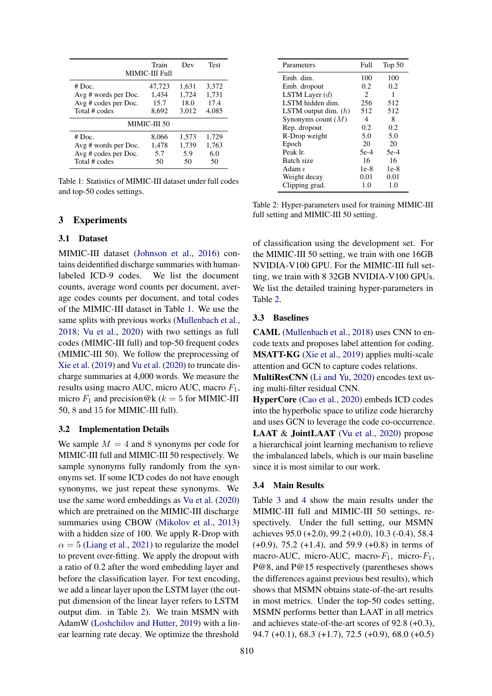<span id="page-2-0"></span>

| Train<br><b>Test</b><br>Dev<br>MIMIC-III Full |        |       |       |  |  |  |
|-----------------------------------------------|--------|-------|-------|--|--|--|
| $# \cdot Doc.$                                | 47,723 | 1,631 | 3,372 |  |  |  |
| Avg # words per Doc.                          | 1.434  | 1,724 | 1,731 |  |  |  |
| $Avg \# codes per Doc.$                       | 15.7   | 18.0  | 17.4  |  |  |  |
| Total # codes                                 | 8,692  | 3,012 | 4,085 |  |  |  |
| MIMIC-III 50                                  |        |       |       |  |  |  |
| $# \cdot Doc.$                                | 8.066  | 1,573 | 1,729 |  |  |  |
| Avg # words per Doc.                          | 1,478  | 1,739 | 1,763 |  |  |  |
| Avg # codes per Doc.                          | 5.7    | 5.9   | 6.0   |  |  |  |
| Total # codes                                 | 50     | 50    | 50    |  |  |  |

Table 1: Statistics of MIMIC-III dataset under full codes and top-50 codes settings.

## 3 Experiments

## 3.1 Dataset

MIMIC-III dataset [\(Johnson et al.,](#page-5-11) [2016\)](#page-5-11) contains deidentified discharge summaries with humanlabeled ICD-9 codes. We list the document counts, average word counts per document, average codes counts per document, and total codes of the MIMIC-III dataset in Table [1.](#page-2-0) We use the same splits with previous works [\(Mullenbach et al.,](#page-5-4) [2018;](#page-5-4) [Vu et al.,](#page-6-5) [2020\)](#page-6-5) with two settings as full codes (MIMIC-III full) and top-50 frequent codes (MIMIC-III 50). We follow the preprocessing of [Xie et al.](#page-6-3) [\(2019\)](#page-6-3) and [Vu et al.](#page-6-5) [\(2020\)](#page-6-5) to truncate discharge summaries at 4,000 words. We measure the results using macro AUC, micro AUC, macro  $F_1$ , micro  $F_1$  and precision@k ( $k = 5$  for MIMIC-III 50, 8 and 15 for MIMIC-III full).

## 3.2 Implementation Details

We sample  $M = 4$  and 8 synonyms per code for MIMIC-III full and MIMIC-III 50 respectively. We sample synonyms fully randomly from the synonyms set. If some ICD codes do not have enough synonyms, we just repeat these synonyms. We use the same word embeddings as [Vu et al.](#page-6-5) [\(2020\)](#page-6-5) which are pretrained on the MIMIC-III discharge summaries using CBOW [\(Mikolov et al.,](#page-5-12) [2013\)](#page-5-12) with a hidden size of 100. We apply R-Drop with  $\alpha = 5$  [\(Liang et al.,](#page-5-13) [2021\)](#page-5-13) to regularize the model to prevent over-fitting. We apply the dropout with a ratio of 0.2 after the word embedding layer and before the classification layer. For text encoding, we add a linear layer upon the LSTM layer (the output dimension of the linear layer refers to LSTM output dim. in Table [2\)](#page-2-1). We train MSMN with AdamW [\(Loshchilov and Hutter,](#page-5-14) [2019\)](#page-5-14) with a linear learning rate decay. We optimize the threshold

<span id="page-2-1"></span>

| Parameters             | Full   | Top $50$ |
|------------------------|--------|----------|
| Emb. dim.              | 100    | 100      |
| Emb. dropout           | 0.2    | 0.2      |
| LSTM Layer $(d)$       | 2      | 1        |
| LSTM hidden dim.       | 256    | 512      |
| LSTM output dim. $(h)$ | 512    | 512      |
| Synonyms count $(M)$   | 4      | 8        |
| Rep. dropout           | 0.2    | 0.2      |
| R-Drop weight          | 5.0    | 5.0      |
| Epoch                  | 20     | 20       |
| Peak lr.               | $5e-4$ | 5e-4     |
| Batch size             | 16     | 16       |
| Adam $\epsilon$        | $1e-8$ | 1e-8     |
| Weight decay           | 0.01   | 0.01     |
| Clipping grad.         | 1.0    | 1.0      |

Table 2: Hyper-parameters used for training MIMIC-III full setting and MIMIC-III 50 setting.

of classification using the development set. For the MIMIC-III 50 setting, we train with one 16GB NVIDIA-V100 GPU. For the MIMIC-III full setting, we train with 8 32GB NVIDIA-V100 GPUs. We list the detailed training hyper-parameters in Table [2.](#page-2-1)

#### 3.3 Baselines

CAML [\(Mullenbach et al.,](#page-5-4) [2018\)](#page-5-4) uses CNN to encode texts and proposes label attention for coding. MSATT-KG [\(Xie et al.,](#page-6-3) [2019\)](#page-6-3) applies multi-scale attention and GCN to capture codes relations.

MultiResCNN [\(Li and Yu,](#page-5-3) [2020\)](#page-5-3) encodes text using multi-filter residual CNN.

HyperCore [\(Cao et al.,](#page-4-0) [2020\)](#page-4-0) embeds ICD codes into the hyperbolic space to utilize code hierarchy and uses GCN to leverage the code co-occurrence. LAAT & JointLAAT [\(Vu et al.,](#page-6-5) [2020\)](#page-6-5) propose a hierarchical joint learning mechanism to relieve the imbalanced labels, which is our main baseline since it is most similar to our work.

## 3.4 Main Results

Table [3](#page-3-0) and [4](#page-3-1) show the main results under the MIMIC-III full and MIMIC-III 50 settings, respectively. Under the full setting, our MSMN achieves 95.0 (+2.0), 99.2 (+0.0), 10.3 (-0.4), 58.4 (+0.9), 75.2 (+1.4), and 59.9 (+0.8) in terms of macro-AUC, micro-AUC, macro- $F_1$ , micro- $F_1$ , P@8, and P@15 respectively (parentheses shows the differences against previous best results), which shows that MSMN obtains state-of-the-art results in most metrics. Under the top-50 codes setting, MSMN performs better than LAAT in all metrics and achieves state-of-the-art scores of 92.8 (+0.3), 94.7 (+0.1), 68.3 (+1.7), 72.5 (+0.9), 68.0 (+0.5)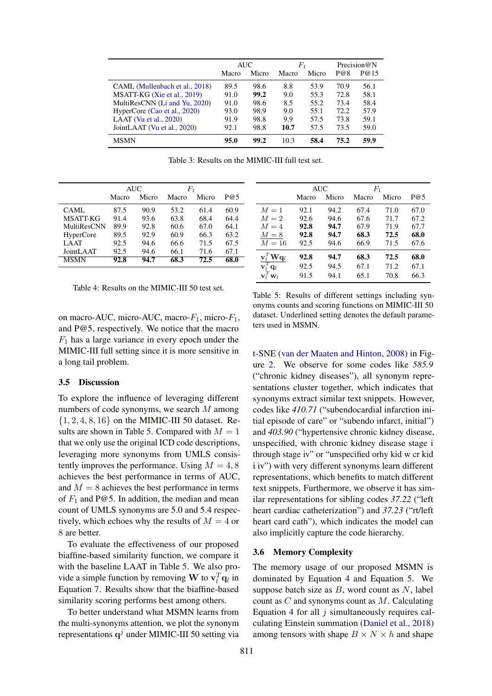<span id="page-3-0"></span>

|                                | AUC   |       | $F_{\rm 1}$ |       | Precision@N |      |
|--------------------------------|-------|-------|-------------|-------|-------------|------|
|                                | Macro | Micro | Macro       | Micro | P@8         | P@15 |
| CAML (Mullenbach et al., 2018) | 89.5  | 98.6  | 8.8         | 53.9  | 70.9        | 56.1 |
| MSATT-KG (Xie et al., 2019)    | 91.0  | 99.2  | 9.0         | 55.3  | 72.8        | 58.1 |
| MultiResCNN (Li and Yu, 2020)  | 91.0  | 98.6  | 8.5         | 55.2  | 73.4        | 58.4 |
| HyperCore (Cao et al., 2020)   | 93.0  | 98.9  | 9.0         | 55.1  | 72.2        | 57.9 |
| LAAT (Vu et al., $2020$ )      | 91.9  | 98.8  | 9.9         | 57.5  | 73.8        | 59.1 |
| JointLAAT (Vu et al., 2020)    | 92.1  | 98.8  | 10.7        | 57.5  | 73.5        | 59.0 |
| <b>MSMN</b>                    | 95.0  | 99.2  | 10.3        | 58.4  | 75.2        | 59.9 |

Table 3: Results on the MIMIC-III full test set.

<span id="page-3-1"></span>

|                    | AUC   |       | $_{F_1}$ |       |      |
|--------------------|-------|-------|----------|-------|------|
|                    | Macro | Micro | Macro    | Micro | P@5  |
| CAML.              | 87.5  | 90.9  | 53.2     | 61.4  | 60.9 |
| <b>MSATT-KG</b>    | 91.4  | 93.6  | 63.8     | 68.4  | 64.4 |
| <b>MultiResCNN</b> | 89.9  | 92.8  | 60.6     | 67.0  | 64.1 |
| <b>HyperCore</b>   | 89.5  | 92.9  | 60.9     | 66.3  | 63.2 |
| LAAT               | 92.5  | 94.6  | 66.6     | 71.5  | 67.5 |
| JointLAAT          | 92.5  | 94.6  | 66.1     | 71.6  | 67.1 |
| <b>MSMN</b>        | 92.8  | 94.7  | 68.3     | 72.5  | 68.0 |

<span id="page-3-2"></span>

|                                          | <b>AUC</b> |       | $F_1$ |       |      |
|------------------------------------------|------------|-------|-------|-------|------|
|                                          | Macro      | Micro | Macro | Micro | P@5  |
| $M=1$                                    | 92.1       | 94.2  | 67.4  | 71.0  | 67.0 |
| $M=2$                                    | 92.6       | 94.6  | 67.6  | 71.7  | 67.2 |
| $M=4$                                    | 92.8       | 94.7  | 67.9  | 71.9  | 67.7 |
| $M=8$                                    | 92.8       | 94.7  | 68.3  | 72.5  | 68.0 |
| $M=16$                                   | 92.5       | 94.6  | 66.9  | 71.5  | 67.6 |
| $\mathbf{v}_l^T \mathbf{W} \mathbf{q}_l$ | 92.8       | 94.7  | 68.3  | 72.5  | 68.0 |
| $\overline{\mathbf{v}_l^T \mathbf{q}_l}$ | 92.5       | 94.5  | 67.1  | 71.2  | 67.1 |
| $\mathbf{v}_l^T \mathbf{w}_l$            | 91.5       | 94.1  | 65.1  | 70.8  | 66.3 |

Table 4: Results on the MIMIC-III 50 test set.

on macro-AUC, micro-AUC, macro- $F_1$ , micro- $F_1$ , and P@5, respectively. We notice that the macro  $F_1$  has a large variance in every epoch under the MIMIC-III full setting since it is more sensitive in a long tail problem.

#### 3.5 Discussion

To explore the influence of leveraging different numbers of code synonyms, we search M among  $\{1, 2, 4, 8, 16\}$  on the MIMIC-III 50 dataset. Re-sults are shown in Table [5.](#page-3-2) Compared with  $M = 1$ that we only use the original ICD code descriptions, leveraging more synonyms from UMLS consistently improves the performance. Using  $M = 4, 8$ achieves the best performance in terms of AUC, and  $M = 8$  achieves the best performance in terms of  $F_1$  and P@5. In addition, the median and mean count of UMLS synonyms are 5.0 and 5.4 respectively, which echoes why the results of  $M = 4$  or 8 are better.

To evaluate the effectiveness of our proposed biaffine-based similarity function, we compare it with the baseline LAAT in Table [5.](#page-3-2) We also provide a simple function by removing W to  $\mathbf{v}_l^T \mathbf{q}_l$  in Equation [7.](#page-1-2) Results show that the biaffine-based similarity scoring performs best among others.

To better understand what MSMN learns from the multi-synonyms attention, we plot the synonym representations  $q^{j}$  under MIMIC-III 50 setting via

Table 5: Results of different settings including synonyms counts and scoring functions on MIMIC-III 50 dataset. Underlined setting denotes the default parameters used in MSMN.

t-SNE [\(van der Maaten and Hinton,](#page-6-6) [2008\)](#page-6-6) in Figure [2.](#page-4-2) We observe for some codes like *585.9* ("chronic kidney diseases"), all synonym representations cluster together, which indicates that synonyms extract similar text snippets. However, codes like *410.71* ("subendocardial infarction initial episode of care" or "subendo infarct, initial") and *403.90* ("hypertensive chronic kidney disease, unspecified, with chronic kidney disease stage i through stage iv" or "unspecified orhy kid w cr kid i iv") with very different synonyms learn different representations, which benefits to match different text snippets. Furthermore, we observe it has similar representations for sibling codes *37.22* ("left heart cardiac catheterization") and *37.23* ("rt/left heart card cath"), which indicates the model can also implicitly capture the code hierarchy.

#### 3.6 Memory Complexity

The memory usage of our proposed MSMN is dominated by Equation [4](#page-1-3) and Equation [5.](#page-1-4) We suppose batch size as  $B$ , word count as  $N$ , label count as  $C$  and synonyms count as  $M$ . Calculating Equation [4](#page-1-3) for all  $i$  simultaneously requires calculating Einstein summation [\(Daniel et al.,](#page-4-3) [2018\)](#page-4-3) among tensors with shape  $B \times N \times h$  and shape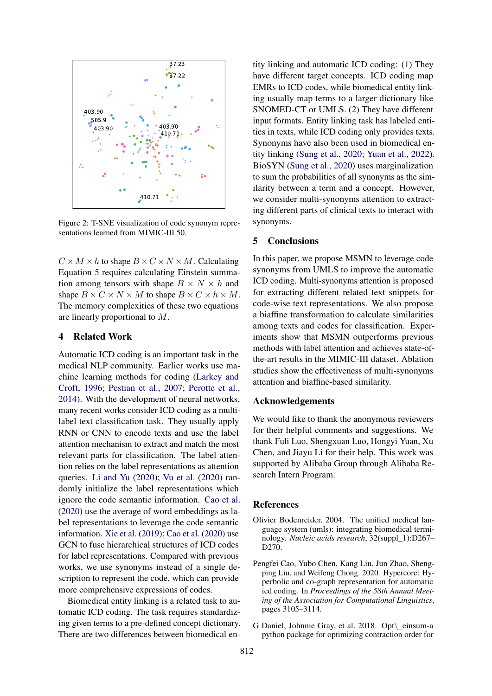<span id="page-4-2"></span>

Figure 2: T-SNE visualization of code synonym representations learned from MIMIC-III 50.

 $C \times M \times h$  to shape  $B \times C \times N \times M$ . Calculating Equation [5](#page-1-4) requires calculating Einstein summation among tensors with shape  $B \times N \times h$  and shape  $B \times C \times N \times M$  to shape  $B \times C \times h \times M$ . The memory complexities of these two equations are linearly proportional to M.

## 4 Related Work

Automatic ICD coding is an important task in the medical NLP community. Earlier works use machine learning methods for coding [\(Larkey and](#page-5-15) [Croft,](#page-5-15) [1996;](#page-5-15) [Pestian et al.,](#page-5-16) [2007;](#page-5-16) [Perotte et al.,](#page-5-17) [2014\)](#page-5-17). With the development of neural networks, many recent works consider ICD coding as a multilabel text classification task. They usually apply RNN or CNN to encode texts and use the label attention mechanism to extract and match the most relevant parts for classification. The label attention relies on the label representations as attention queries. [Li and Yu](#page-5-3) [\(2020\)](#page-5-3); [Vu et al.](#page-6-5) [\(2020\)](#page-6-5) randomly initialize the label representations which ignore the code semantic information. [Cao et al.](#page-4-0) [\(2020\)](#page-4-0) use the average of word embeddings as label representations to leverage the code semantic information. [Xie et al.](#page-6-3) [\(2019\)](#page-6-3); [Cao et al.](#page-4-0) [\(2020\)](#page-4-0) use GCN to fuse hierarchical structures of ICD codes for label representations. Compared with previous works, we use synonyms instead of a single description to represent the code, which can provide more comprehensive expressions of codes.

Biomedical entity linking is a related task to automatic ICD coding. The task requires standardizing given terms to a pre-defined concept dictionary. There are two differences between biomedical entity linking and automatic ICD coding: (1) They have different target concepts. ICD coding map EMRs to ICD codes, while biomedical entity linking usually map terms to a larger dictionary like SNOMED-CT or UMLS. (2) They have different input formats. Entity linking task has labeled entities in texts, while ICD coding only provides texts. Synonyms have also been used in biomedical entity linking [\(Sung et al.,](#page-5-18) [2020;](#page-5-18) [Yuan et al.,](#page-6-7) [2022\)](#page-6-7). BioSYN [\(Sung et al.,](#page-5-18) [2020\)](#page-5-18) uses marginalization to sum the probabilities of all synonyms as the similarity between a term and a concept. However, we consider multi-synonyms attention to extracting different parts of clinical texts to interact with synonyms.

#### 5 Conclusions

In this paper, we propose MSMN to leverage code synonyms from UMLS to improve the automatic ICD coding. Multi-synonyms attention is proposed for extracting different related text snippets for code-wise text representations. We also propose a biaffine transformation to calculate similarities among texts and codes for classification. Experiments show that MSMN outperforms previous methods with label attention and achieves state-ofthe-art results in the MIMIC-III dataset. Ablation studies show the effectiveness of multi-synonyms attention and biaffine-based similarity.

# Acknowledgements

We would like to thank the anonymous reviewers for their helpful comments and suggestions. We thank Fuli Luo, Shengxuan Luo, Hongyi Yuan, Xu Chen, and Jiayu Li for their help. This work was supported by Alibaba Group through Alibaba Research Intern Program.

## References

- <span id="page-4-1"></span>Olivier Bodenreider. 2004. The unified medical language system (umls): integrating biomedical terminology. *Nucleic acids research*, 32(suppl\_1):D267– D<sub>270</sub>.
- <span id="page-4-0"></span>Pengfei Cao, Yubo Chen, Kang Liu, Jun Zhao, Shengping Liu, and Weifeng Chong. 2020. Hypercore: Hyperbolic and co-graph representation for automatic icd coding. In *Proceedings of the 58th Annual Meeting of the Association for Computational Linguistics*, pages 3105–3114.
- <span id="page-4-3"></span>G Daniel, Johnnie Gray, et al. 2018. Opt\\_einsum-a python package for optimizing contraction order for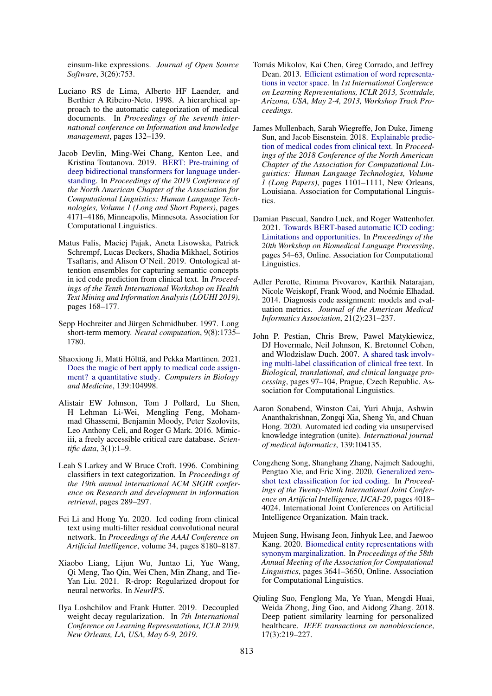einsum-like expressions. *Journal of Open Source Software*, 3(26):753.

- <span id="page-5-2"></span>Luciano RS de Lima, Alberto HF Laender, and Berthier A Ribeiro-Neto. 1998. A hierarchical approach to the automatic categorization of medical documents. In *Proceedings of the seventh international conference on Information and knowledge management*, pages 132–139.
- <span id="page-5-9"></span>Jacob Devlin, Ming-Wei Chang, Kenton Lee, and Kristina Toutanova. 2019. [BERT: Pre-training of](https://doi.org/10.18653/v1/N19-1423) [deep bidirectional transformers for language under](https://doi.org/10.18653/v1/N19-1423)[standing.](https://doi.org/10.18653/v1/N19-1423) In *Proceedings of the 2019 Conference of the North American Chapter of the Association for Computational Linguistics: Human Language Technologies, Volume 1 (Long and Short Papers)*, pages 4171–4186, Minneapolis, Minnesota. Association for Computational Linguistics.
- <span id="page-5-5"></span>Matus Falis, Maciej Pajak, Aneta Lisowska, Patrick Schrempf, Lucas Deckers, Shadia Mikhael, Sotirios Tsaftaris, and Alison O'Neil. 2019. Ontological attention ensembles for capturing semantic concepts in icd code prediction from clinical text. In *Proceedings of the Tenth International Workshop on Health Text Mining and Information Analysis (LOUHI 2019)*, pages 168–177.
- <span id="page-5-10"></span>Sepp Hochreiter and Jürgen Schmidhuber. 1997. Long short-term memory. *Neural computation*, 9(8):1735– 1780.
- <span id="page-5-7"></span>Shaoxiong Ji, Matti Hölttä, and Pekka Marttinen. 2021. [Does the magic of bert apply to medical code assign](https://doi.org/https://doi.org/10.1016/j.compbiomed.2021.104998)[ment? a quantitative study.](https://doi.org/https://doi.org/10.1016/j.compbiomed.2021.104998) *Computers in Biology and Medicine*, 139:104998.
- <span id="page-5-11"></span>Alistair EW Johnson, Tom J Pollard, Lu Shen, H Lehman Li-Wei, Mengling Feng, Mohammad Ghassemi, Benjamin Moody, Peter Szolovits, Leo Anthony Celi, and Roger G Mark. 2016. Mimiciii, a freely accessible critical care database. *Scientific data*, 3(1):1–9.
- <span id="page-5-15"></span>Leah S Larkey and W Bruce Croft. 1996. Combining classifiers in text categorization. In *Proceedings of the 19th annual international ACM SIGIR conference on Research and development in information retrieval*, pages 289–297.
- <span id="page-5-3"></span>Fei Li and Hong Yu. 2020. Icd coding from clinical text using multi-filter residual convolutional neural network. In *Proceedings of the AAAI Conference on Artificial Intelligence*, volume 34, pages 8180–8187.
- <span id="page-5-13"></span>Xiaobo Liang, Lijun Wu, Juntao Li, Yue Wang, Qi Meng, Tao Qin, Wei Chen, Min Zhang, and Tie-Yan Liu. 2021. R-drop: Regularized dropout for neural networks. In *NeurIPS*.
- <span id="page-5-14"></span>Ilya Loshchilov and Frank Hutter. 2019. Decoupled weight decay regularization. In *7th International Conference on Learning Representations, ICLR 2019, New Orleans, LA, USA, May 6-9, 2019*.
- <span id="page-5-12"></span>Tomás Mikolov, Kai Chen, Greg Corrado, and Jeffrey Dean. 2013. [Efficient estimation of word representa](http://arxiv.org/abs/1301.3781)[tions in vector space.](http://arxiv.org/abs/1301.3781) In *1st International Conference on Learning Representations, ICLR 2013, Scottsdale, Arizona, USA, May 2-4, 2013, Workshop Track Proceedings*.
- <span id="page-5-4"></span>James Mullenbach, Sarah Wiegreffe, Jon Duke, Jimeng Sun, and Jacob Eisenstein. 2018. [Explainable predic](https://doi.org/10.18653/v1/N18-1100)[tion of medical codes from clinical text.](https://doi.org/10.18653/v1/N18-1100) In *Proceedings of the 2018 Conference of the North American Chapter of the Association for Computational Linguistics: Human Language Technologies, Volume 1 (Long Papers)*, pages 1101–1111, New Orleans, Louisiana. Association for Computational Linguistics.
- <span id="page-5-8"></span>Damian Pascual, Sandro Luck, and Roger Wattenhofer. 2021. [Towards BERT-based automatic ICD coding:](https://doi.org/10.18653/v1/2021.bionlp-1.6) [Limitations and opportunities.](https://doi.org/10.18653/v1/2021.bionlp-1.6) In *Proceedings of the 20th Workshop on Biomedical Language Processing*, pages 54–63, Online. Association for Computational Linguistics.
- <span id="page-5-17"></span>Adler Perotte, Rimma Pivovarov, Karthik Natarajan, Nicole Weiskopf, Frank Wood, and Noémie Elhadad. 2014. Diagnosis code assignment: models and evaluation metrics. *Journal of the American Medical Informatics Association*, 21(2):231–237.
- <span id="page-5-16"></span>John P. Pestian, Chris Brew, Pawel Matykiewicz, DJ Hovermale, Neil Johnson, K. Bretonnel Cohen, and Wlodzislaw Duch. 2007. [A shared task involv](https://www.aclweb.org/anthology/W07-1013)[ing multi-label classification of clinical free text.](https://www.aclweb.org/anthology/W07-1013) In *Biological, translational, and clinical language processing*, pages 97–104, Prague, Czech Republic. Association for Computational Linguistics.
- <span id="page-5-1"></span>Aaron Sonabend, Winston Cai, Yuri Ahuja, Ashwin Ananthakrishnan, Zongqi Xia, Sheng Yu, and Chuan Hong. 2020. Automated icd coding via unsupervised knowledge integration (unite). *International journal of medical informatics*, 139:104135.
- <span id="page-5-6"></span>Congzheng Song, Shanghang Zhang, Najmeh Sadoughi, Pengtao Xie, and Eric Xing. 2020. [Generalized zero](https://doi.org/10.24963/ijcai.2020/556)[shot text classification for icd coding.](https://doi.org/10.24963/ijcai.2020/556) In *Proceedings of the Twenty-Ninth International Joint Conference on Artificial Intelligence, IJCAI-20*, pages 4018– 4024. International Joint Conferences on Artificial Intelligence Organization. Main track.
- <span id="page-5-18"></span>Mujeen Sung, Hwisang Jeon, Jinhyuk Lee, and Jaewoo Kang. 2020. [Biomedical entity representations with](https://doi.org/10.18653/v1/2020.acl-main.335) [synonym marginalization.](https://doi.org/10.18653/v1/2020.acl-main.335) In *Proceedings of the 58th Annual Meeting of the Association for Computational Linguistics*, pages 3641–3650, Online. Association for Computational Linguistics.
- <span id="page-5-0"></span>Qiuling Suo, Fenglong Ma, Ye Yuan, Mengdi Huai, Weida Zhong, Jing Gao, and Aidong Zhang. 2018. Deep patient similarity learning for personalized healthcare. *IEEE transactions on nanobioscience*, 17(3):219–227.